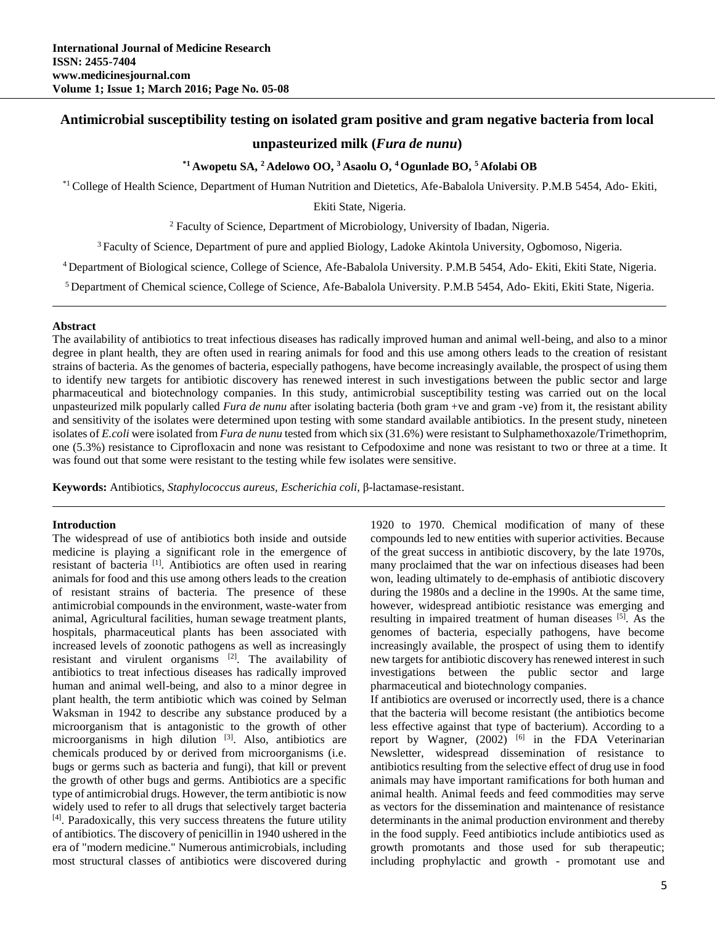# **Antimicrobial susceptibility testing on isolated gram positive and gram negative bacteria from local**

# **unpasteurized milk (***Fura de nunu***)**

# **\*1 Awopetu SA, <sup>2</sup> Adelowo OO, <sup>3</sup> Asaolu O, <sup>4</sup> Ogunlade BO, <sup>5</sup> Afolabi OB**

\*1 College of Health Science, Department of Human Nutrition and Dietetics, Afe-Babalola University. P.M.B 5454, Ado- Ekiti,

Ekiti State, Nigeria.

<sup>2</sup> Faculty of Science, Department of Microbiology, University of Ibadan, Nigeria.

<sup>3</sup> Faculty of Science, Department of pure and applied Biology, Ladoke Akintola University, Ogbomoso, Nigeria.

<sup>4</sup> Department of Biological science, College of Science, Afe-Babalola University. P.M.B 5454, Ado- Ekiti, Ekiti State, Nigeria.

<sup>5</sup> Department of Chemical science, College of Science, Afe-Babalola University. P.M.B 5454, Ado- Ekiti, Ekiti State, Nigeria.

# **Abstract**

The availability of antibiotics to treat infectious diseases has radically improved human and animal well-being, and also to a minor degree in plant health, they are often used in rearing animals for food and this use among others leads to the creation of resistant strains of bacteria. As the genomes of bacteria, especially pathogens, have become increasingly available, the prospect of using them to identify new targets for antibiotic discovery has renewed interest in such investigations between the public sector and large pharmaceutical and biotechnology companies. In this study, antimicrobial susceptibility testing was carried out on the local unpasteurized milk popularly called *Fura de nunu* after isolating bacteria (both gram +ve and gram -ve) from it, the resistant ability and sensitivity of the isolates were determined upon testing with some standard available antibiotics. In the present study, nineteen isolates of *E.coli* were isolated from *Fura de nunu* tested from which six (31.6%) were resistant to Sulphamethoxazole/Trimethoprim, one (5.3%) resistance to Ciprofloxacin and none was resistant to Cefpodoxime and none was resistant to two or three at a time. It was found out that some were resistant to the testing while few isolates were sensitive.

**Keywords:** Antibiotics, *Staphylococcus aureus, Escherichia coli,* β-lactamase-resistant.

# **Introduction**

The widespread of use of antibiotics both inside and outside medicine is playing a significant role in the emergence of resistant of bacteria [1]. Antibiotics are often used in rearing animals for food and this use among others leads to the creation of resistant strains of bacteria. The presence of these antimicrobial compounds in the environment, waste-water from animal, Agricultural facilities, human sewage treatment plants, hospitals, pharmaceutical plants has been associated with increased levels of zoonotic pathogens as well as increasingly resistant and virulent organisms [2]. The availability of antibiotics to treat infectious diseases has radically improved human and animal well-being, and also to a minor degree in plant health, the term antibiotic which was coined by Selman Waksman in 1942 to describe any substance produced by a microorganism that is antagonistic to the growth of other microorganisms in high dilution [3]. Also, antibiotics are chemicals produced by or derived from microorganisms (i.e. bugs or germs such as bacteria and fungi), that kill or prevent the growth of other bugs and germs. Antibiotics are a specific type of antimicrobial drugs. However, the term antibiotic is now widely used to refer to all drugs that selectively target bacteria [4]. Paradoxically, this very success threatens the future utility of antibiotics. The discovery of penicillin in 1940 ushered in the era of "modern medicine." Numerous antimicrobials, including most structural classes of antibiotics were discovered during

1920 to 1970. Chemical modification of many of these compounds led to new entities with superior activities. Because of the great success in antibiotic discovery, by the late 1970s, many proclaimed that the war on infectious diseases had been won, leading ultimately to de-emphasis of antibiotic discovery during the 1980s and a decline in the 1990s. At the same time, however, widespread antibiotic resistance was emerging and resulting in impaired treatment of human diseases [5]. As the genomes of bacteria, especially pathogens, have become increasingly available, the prospect of using them to identify new targets for antibiotic discovery has renewed interest in such investigations between the public sector and large pharmaceutical and biotechnology companies.

If antibiotics are overused or incorrectly used, there is a chance that the bacteria will become resistant (the antibiotics become less effective against that type of bacterium). According to a report by Wagner,  $(2002)$  <sup>[6]</sup> in the FDA Veterinarian Newsletter, widespread dissemination of resistance to antibiotics resulting from the selective effect of drug use in food animals may have important ramifications for both human and animal health. Animal feeds and feed commodities may serve as vectors for the dissemination and maintenance of resistance determinants in the animal production environment and thereby in the food supply. Feed antibiotics include antibiotics used as growth promotants and those used for sub therapeutic; including prophylactic and growth - promotant use and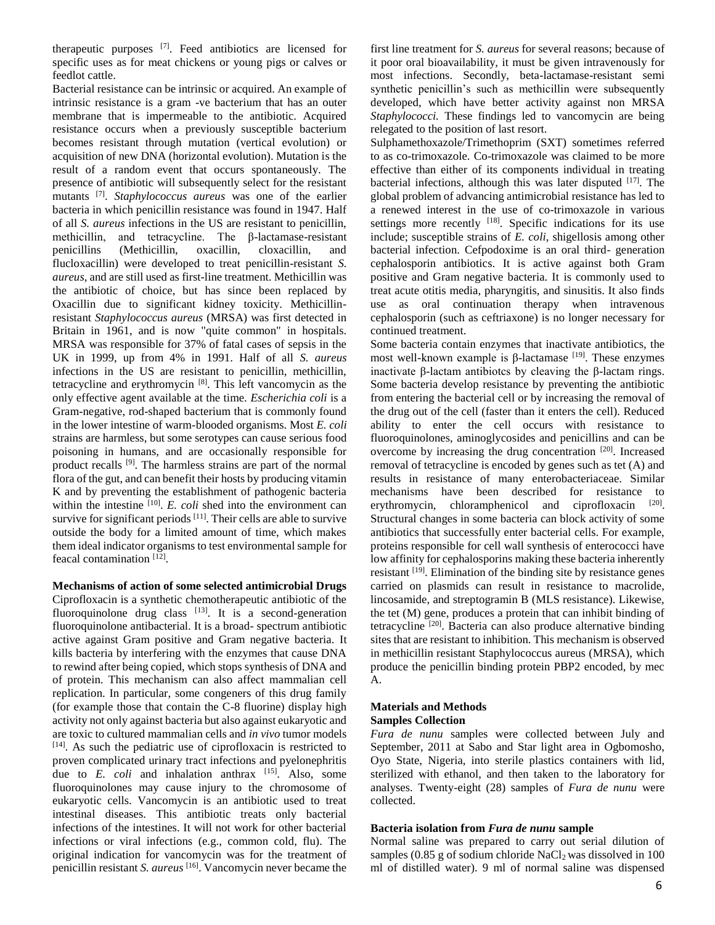therapeutic purposes [7] . Feed antibiotics are licensed for specific uses as for meat chickens or young pigs or calves or feedlot cattle.

Bacterial resistance can be intrinsic or acquired. An example of intrinsic resistance is a gram -ve bacterium that has an outer membrane that is impermeable to the antibiotic. Acquired resistance occurs when a previously susceptible bacterium becomes resistant through mutation (vertical evolution) or acquisition of new DNA (horizontal evolution). Mutation is the result of a random event that occurs spontaneously. The presence of antibiotic will subsequently select for the resistant mutants [7] . *Staphylococcus aureus* was one of the earlier bacteria in which penicillin resistance was found in 1947. Half of all *S. aureus* infections in the US are resistant to penicillin, methicillin, and tetracycline. The β-lactamase-resistant penicillins (Methicillin, oxacillin, cloxacillin, and flucloxacillin) were developed to treat penicillin-resistant *S. aureus*, and are still used as first-line treatment. Methicillin was the antibiotic of choice, but has since been replaced by Oxacillin due to significant kidney toxicity. Methicillinresistant *Staphylococcus aureus* (MRSA) was first detected in Britain in 1961, and is now "quite common" in hospitals. MRSA was responsible for 37% of fatal cases of sepsis in the UK in 1999, up from 4% in 1991. Half of all *S. aureus* infections in the US are resistant to penicillin, methicillin, tetracycline and erythromycin [8]. This left vancomycin as the only effective agent available at the time. *Escherichia coli* is a Gram-negative, rod-shaped bacterium that is commonly found in the lower intestine of warm-blooded organisms. Most *E. coli* strains are harmless, but some serotypes can cause serious food poisoning in humans, and are occasionally responsible for product recalls <sup>[9]</sup>. The harmless strains are part of the normal flora of the gut, and can benefit their hosts by producing vitamin K and by preventing the establishment of pathogenic bacteria within the intestine  $[10]$ . *E. coli* shed into the environment can survive for significant periods [11]. Their cells are able to survive outside the body for a limited amount of time, which makes them ideal indicator organisms to test environmental sample for feacal contamination<sup>[12]</sup>.

**Mechanisms of action of some selected antimicrobial Drugs** Ciprofloxacin is a synthetic chemotherapeutic antibiotic of the fluoroquinolone drug class  $^{[13]}$ . It is a second-generation fluoroquinolone antibacterial. It is a broad- spectrum antibiotic active against Gram positive and Gram negative bacteria. It kills bacteria by interfering with the enzymes that cause DNA to rewind after being copied, which stops synthesis of DNA and of protein. This mechanism can also affect mammalian cell replication. In particular, some congeners of this drug family (for example those that contain the C-8 fluorine) display high activity not only against bacteria but also against eukaryotic and are toxic to cultured mammalian cells and *in vivo* tumor models [14]. As such the pediatric use of ciprofloxacin is restricted to proven complicated urinary tract infections and pyelonephritis due to *E. coli* and inhalation anthrax <sup>[15]</sup>. Also, some fluoroquinolones may cause injury to the chromosome of eukaryotic cells. Vancomycin is an antibiotic used to treat intestinal diseases. This antibiotic treats only bacterial infections of the intestines. It will not work for other bacterial infections or viral infections (e.g., common cold, flu). The original indication for vancomycin was for the treatment of penicillin resistant *S. aureus* [16]. Vancomycin never became the

first line treatment for *S. aureus* for several reasons; because of it poor oral bioavailability, it must be given intravenously for most infections. Secondly, beta-lactamase-resistant semi synthetic penicillin's such as methicillin were subsequently developed, which have better activity against non MRSA *Staphylococci.* These findings led to vancomycin are being relegated to the position of last resort.

Sulphamethoxazole/Trimethoprim (SXT) sometimes referred to as co-trimoxazole. Co-trimoxazole was claimed to be more effective than either of its components individual in treating bacterial infections, although this was later disputed  $[17]$ . The global problem of advancing antimicrobial resistance has led to a renewed interest in the use of co-trimoxazole in various settings more recently  $[18]$ . Specific indications for its use include; susceptible strains of *E. coli,* shigellosis among other bacterial infection. Cefpodoxime is an oral third- generation cephalosporin antibiotics. It is active against both Gram positive and Gram negative bacteria. It is commonly used to treat acute otitis media, pharyngitis, and sinusitis. It also finds use as oral continuation therapy when intravenous cephalosporin (such as ceftriaxone) is no longer necessary for continued treatment.

Some bacteria contain enzymes that inactivate antibiotics, the most well-known example is β-lactamase  $[19]$ . These enzymes inactivate β-lactam antibiotcs by cleaving the β-lactam rings. Some bacteria develop resistance by preventing the antibiotic from entering the bacterial cell or by increasing the removal of the drug out of the cell (faster than it enters the cell). Reduced ability to enter the cell occurs with resistance to fluoroquinolones, aminoglycosides and penicillins and can be overcome by increasing the drug concentration [20]. Increased removal of tetracycline is encoded by genes such as tet (A) and results in resistance of many enterobacteriaceae. Similar mechanisms have been described for resistance to erythromycin, chloramphenicol and ciprofloxacin [20]. Structural changes in some bacteria can block activity of some antibiotics that successfully enter bacterial cells. For example, proteins responsible for cell wall synthesis of enterococci have low affinity for cephalosporins making these bacteria inherently resistant [19]. Elimination of the binding site by resistance genes carried on plasmids can result in resistance to macrolide, lincosamide, and streptogramin B (MLS resistance). Likewise, the tet (M) gene, produces a protein that can inhibit binding of tetracycline [20]. Bacteria can also produce alternative binding sites that are resistant to inhibition. This mechanism is observed in methicillin resistant Staphylococcus aureus (MRSA), which produce the penicillin binding protein PBP2 encoded, by mec A.

# **Materials and Methods Samples Collection**

*Fura de nunu* samples were collected between July and September, 2011 at Sabo and Star light area in Ogbomosho, Oyo State, Nigeria, into sterile plastics containers with lid, sterilized with ethanol, and then taken to the laboratory for analyses. Twenty-eight (28) samples of *Fura de nunu* were collected.

# **Bacteria isolation from** *Fura de nunu* **sample**

Normal saline was prepared to carry out serial dilution of samples ( $0.85$  g of sodium chloride NaCl<sub>2</sub> was dissolved in 100 ml of distilled water). 9 ml of normal saline was dispensed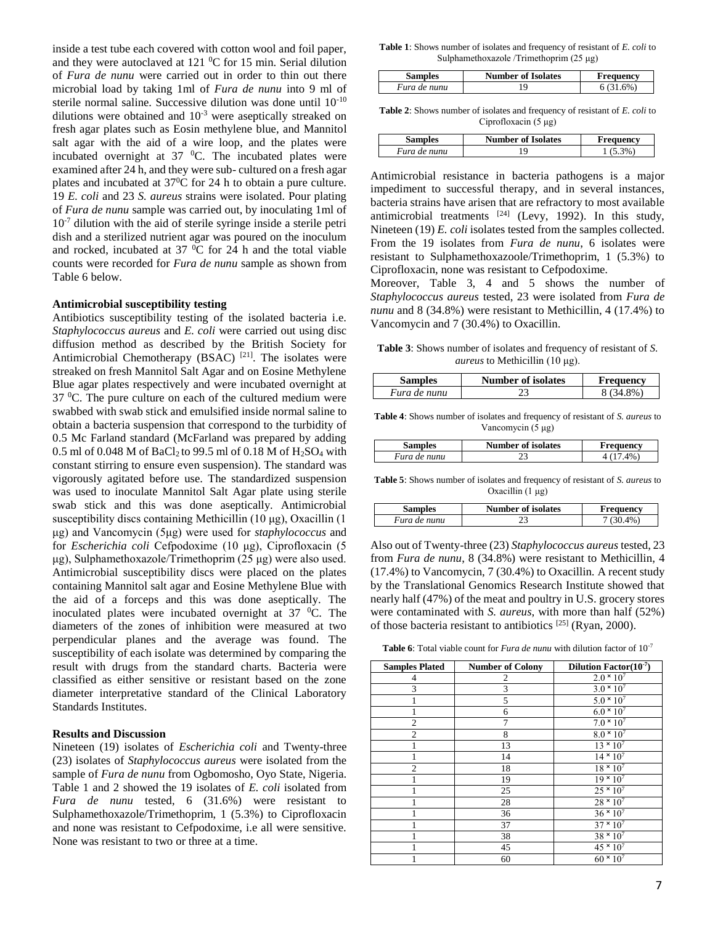inside a test tube each covered with cotton wool and foil paper, and they were autoclaved at  $121 \,^0$ C for 15 min. Serial dilution of *Fura de nunu* were carried out in order to thin out there microbial load by taking 1ml of *Fura de nunu* into 9 ml of sterile normal saline. Successive dilution was done until 10-10 dilutions were obtained and  $10^{-3}$  were aseptically streaked on fresh agar plates such as Eosin methylene blue, and Mannitol salt agar with the aid of a wire loop, and the plates were incubated overnight at  $37\degree$ C. The incubated plates were examined after 24 h, and they were sub- cultured on a fresh agar plates and incubated at  $37^{\circ}$ C for 24 h to obtain a pure culture. 19 *E. coli* and 23 *S. aureus* strains were isolated. Pour plating of *Fura de nunu* sample was carried out, by inoculating 1ml of  $10^{-7}$  dilution with the aid of sterile syringe inside a sterile petri dish and a sterilized nutrient agar was poured on the inoculum and rocked, incubated at  $37\text{ °C}$  for 24 h and the total viable counts were recorded for *Fura de nunu* sample as shown from Table 6 below.

#### **Antimicrobial susceptibility testing**

Antibiotics susceptibility testing of the isolated bacteria i.e. *Staphylococcus aureus* and *E. coli* were carried out using disc diffusion method as described by the British Society for Antimicrobial Chemotherapy  $(BSAC)$ <sup>[21]</sup>. The isolates were streaked on fresh Mannitol Salt Agar and on Eosine Methylene Blue agar plates respectively and were incubated overnight at  $37 \text{ }^0$ C. The pure culture on each of the cultured medium were swabbed with swab stick and emulsified inside normal saline to obtain a bacteria suspension that correspond to the turbidity of 0.5 Mc Farland standard (McFarland was prepared by adding 0.5 ml of 0.048 M of BaCl<sub>2</sub> to 99.5 ml of 0.18 M of  $H_2SO_4$  with constant stirring to ensure even suspension). The standard was vigorously agitated before use. The standardized suspension was used to inoculate Mannitol Salt Agar plate using sterile swab stick and this was done aseptically. Antimicrobial susceptibility discs containing Methicillin (10 μg), Oxacillin (1 μg) and Vancomycin (5μg) were used for *staphylococcus* and for *Escherichia coli* Cefpodoxime (10 μg), Ciprofloxacin (5 μg), Sulphamethoxazole/Trimethoprim (25 μg) were also used. Antimicrobial susceptibility discs were placed on the plates containing Mannitol salt agar and Eosine Methylene Blue with the aid of a forceps and this was done aseptically. The inoculated plates were incubated overnight at  $37 \degree$ C. The diameters of the zones of inhibition were measured at two perpendicular planes and the average was found. The susceptibility of each isolate was determined by comparing the result with drugs from the standard charts. Bacteria were classified as either sensitive or resistant based on the zone diameter interpretative standard of the Clinical Laboratory Standards Institutes.

## **Results and Discussion**

Nineteen (19) isolates of *Escherichia coli* and Twenty-three (23) isolates of *Staphylococcus aureus* were isolated from the sample of *Fura de nunu* from Ogbomosho, Oyo State, Nigeria. Table 1 and 2 showed the 19 isolates of *E. coli* isolated from *Fura de nunu* tested, 6 (31.6%) were resistant to Sulphamethoxazole/Trimethoprim, 1 (5.3%) to Ciprofloxacin and none was resistant to Cefpodoxime, i.e all were sensitive. None was resistant to two or three at a time.

| <b>Table 1:</b> Shows number of isolates and frequency of resistant of <i>E. coli</i> to |
|------------------------------------------------------------------------------------------|
| Sulphamethoxazole /Trimethoprim $(25 \mu g)$                                             |

| <b>Samples</b> | <b>Number of Isolates</b> | <b>Frequency</b> |
|----------------|---------------------------|------------------|
| Fura de nunu   |                           | 60 <sub>6</sub>  |

**Table 2**: Shows number of isolates and frequency of resistant of *E. coli* to Ciprofloxacin (5 μg)

| Samples      | Number of Isolates | reauencv    |
|--------------|--------------------|-------------|
| Fura de nunu |                    | $1(5, 3\%)$ |

Antimicrobial resistance in bacteria pathogens is a major impediment to successful therapy, and in several instances, bacteria strains have arisen that are refractory to most available antimicrobial treatments  $[24]$  (Levy, 1992). In this study, Nineteen (19) *E. coli* isolates tested from the samples collected. From the 19 isolates from *Fura de nunu*, 6 isolates were resistant to Sulphamethoxazoole/Trimethoprim, 1 (5.3%) to Ciprofloxacin, none was resistant to Cefpodoxime.

Moreover, Table 3, 4 and 5 shows the number of *Staphylococcus aureus* tested, 23 were isolated from *Fura de nunu* and 8 (34.8%) were resistant to Methicillin, 4 (17.4%) to Vancomycin and 7 (30.4%) to Oxacillin.

**Table 3**: Shows number of isolates and frequency of resistant of *S. aureus* to Methicillin (10 μg).

| <b>Samples</b> | <b>Number of isolates</b> | Frequency       |
|----------------|---------------------------|-----------------|
| Fura de nunu   |                           | 80 <sub>6</sub> |

**Table 4**: Shows number of isolates and frequency of resistant of *S. aureus* to Vancomycin (5 μg)

| Samples      | <b>Number of isolates</b> | Frequency       |
|--------------|---------------------------|-----------------|
| Fura de nunu | دے                        | 10 <sub>o</sub> |

**Table 5**: Shows number of isolates and frequency of resistant of *S. aureus* to Oxacillin (1 μg)

| Samples      | Number of isolates | Frequency       |
|--------------|--------------------|-----------------|
| Fura de nunu |                    | 10 <sub>6</sub> |

Also out of Twenty-three (23) *Staphylococcus aureus* tested, 23 from *Fura de nunu*, 8 (34.8%) were resistant to Methicillin, 4 (17.4%) to Vancomycin, 7 (30.4%) to Oxacillin. A recent study by the Translational Genomics Research Institute showed that nearly half (47%) of the meat and poultry in U.S. grocery stores were contaminated with *S. aureus*, with more than half (52%) of those bacteria resistant to antibiotics  $^{[25]}$  (Ryan, 2000).

**Table 6**: Total viable count for *Fura de nunu* with dilution factor of 10<sup>-7</sup>

| <b>Samples Plated</b> | <b>Number of Colony</b> | Dilution Factor $(10^{-7})$ |
|-----------------------|-------------------------|-----------------------------|
|                       |                         | $2.0 * 10^{7}$              |
| 3                     | 3                       | $3.0 \times 10^{7}$         |
|                       | 5                       | $5.0 * 10^{7}$              |
|                       | 6                       | $6.0*10^{7}$                |
| 2                     |                         | $7.0 \times 10^{7}$         |
| $\overline{c}$        | 8                       | $8.0 * 10^{7}$              |
|                       | 13                      | $13 * 10^7$                 |
|                       | 14                      | $14 * 10^{7}$               |
| $\overline{2}$        | 18                      | $18 * 10^{7}$               |
|                       | 19                      | $19 * 10^{7}$               |
|                       | 25                      | $25 * 10^{7}$               |
|                       | 28                      | $28 * 10^{7}$               |
|                       | 36                      | $36 * 10^{7}$               |
|                       | 37                      | $37 * 10^{7}$               |
|                       | 38                      | $\overline{38 \times 10^7}$ |
|                       | 45                      | $45 * 10^{7}$               |
|                       | 60                      | $60 * 10^{7}$               |